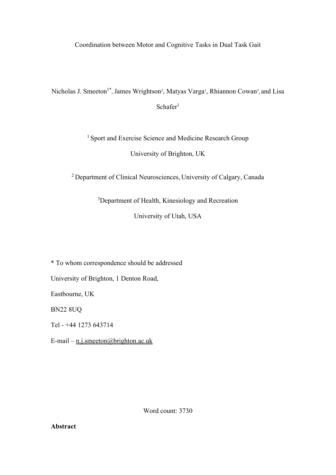Coordination between Motor and Cognitive Tasks in Dual Task Gait

Nicholas J. Smeeton<sup>1\*</sup>, James Wrightson<sup>2</sup>, Matyas Varga<sup>1</sup>, Rhiannon Cowan<sup>3</sup>, and Lisa  $Schar<sup>1</sup>$ 

> <sup>1</sup> Sport and Exercise Science and Medicine Research Group University of Brighton, UK

<sup>2</sup> Department of Clinical Neurosciences, University of Calgary, Canada

<sup>3</sup>Department of Health, Kinesiology and Recreation

University of Utah, USA

\* To whom correspondence should be addressed

University of Brighton, 1 Denton Road,

Eastbourne, UK

BN22 8UQ

Tel - +44 1273 643714

E-mail –  $n.i.$ smeeton@brighton.ac.uk

Word count: 3730

**Abstract**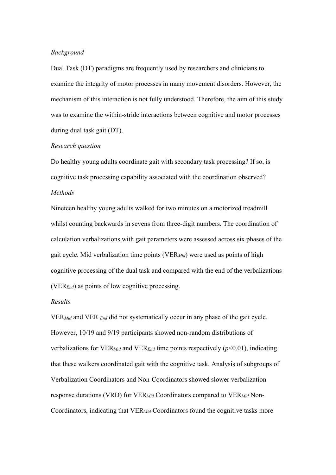## *Background*

Dual Task (DT) paradigms are frequently used by researchers and clinicians to examine the integrity of motor processes in many movement disorders. However, the mechanism of this interaction is not fully understood. Therefore, the aim of this study was to examine the within-stride interactions between cognitive and motor processes during dual task gait (DT).

## *Research question*

Do healthy young adults coordinate gait with secondary task processing? If so, is cognitive task processing capability associated with the coordination observed? *Methods*

Nineteen healthy young adults walked for two minutes on a motorized treadmill whilst counting backwards in sevens from three-digit numbers. The coordination of calculation verbalizations with gait parameters were assessed across six phases of the gait cycle. Mid verbalization time points (VER*Mid*) were used as points of high cognitive processing of the dual task and compared with the end of the verbalizations (VER*End*) as points of low cognitive processing.

# *Results*

VER*Mid* and VER *End* did not systematically occur in any phase of the gait cycle. However, 10/19 and 9/19 participants showed non-random distributions of verbalizations for VER*Mid* and VER*End* time points respectively (*p*<0.01), indicating that these walkers coordinated gait with the cognitive task. Analysis of subgroups of Verbalization Coordinators and Non-Coordinators showed slower verbalization response durations (VRD) for VER*Mid* Coordinators compared to VER*Mid* Non-Coordinators, indicating that VER*Mid* Coordinators found the cognitive tasks more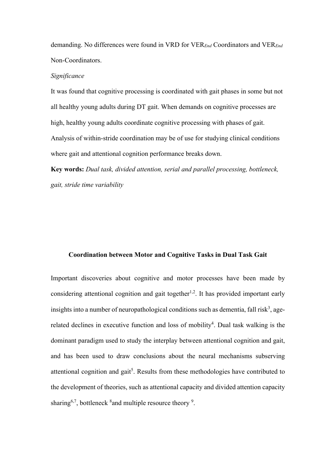demanding. No differences were found in VRD for VER*End* Coordinators and VER*End* Non-Coordinators.

# *Significance*

It was found that cognitive processing is coordinated with gait phases in some but not all healthy young adults during DT gait. When demands on cognitive processes are high, healthy young adults coordinate cognitive processing with phases of gait. Analysis of within-stride coordination may be of use for studying clinical conditions where gait and attentional cognition performance breaks down.

**Key words:** *Dual task, divided attention, serial and parallel processing, bottleneck, gait, stride time variability*

#### **Coordination between Motor and Cognitive Tasks in Dual Task Gait**

Important discoveries about cognitive and motor processes have been made by considering attentional cognition and gait together<sup>1,2</sup>. It has provided important early insights into a number of neuropathological conditions such as dementia, fall risk<sup>3</sup>, agerelated declines in executive function and loss of mobility<sup>4</sup>. Dual task walking is the dominant paradigm used to study the interplay between attentional cognition and gait, and has been used to draw conclusions about the neural mechanisms subserving attentional cognition and gait<sup>5</sup>. Results from these methodologies have contributed to the development of theories, such as attentional capacity and divided attention capacity sharing<sup>6,7</sup>, bottleneck  ${}^{8}$  and multiple resource theory  ${}^{9}$ .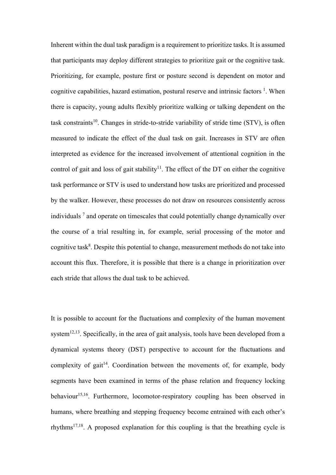Inherent within the dual task paradigm is a requirement to prioritize tasks. It is assumed that participants may deploy different strategies to prioritize gait or the cognitive task. Prioritizing, for example, posture first or posture second is dependent on motor and cognitive capabilities, hazard estimation, postural reserve and intrinsic factors  $<sup>1</sup>$ . When</sup> there is capacity, young adults flexibly prioritize walking or talking dependent on the task constraints<sup>10</sup>. Changes in stride-to-stride variability of stride time  $(TV)$ , is often measured to indicate the effect of the dual task on gait. Increases in STV are often interpreted as evidence for the increased involvement of attentional cognition in the control of gait and loss of gait stability<sup>11</sup>. The effect of the DT on either the cognitive task performance or STV is used to understand how tasks are prioritized and processed by the walker. However, these processes do not draw on resources consistently across individuals <sup>7</sup> and operate on timescales that could potentially change dynamically over the course of a trial resulting in, for example, serial processing of the motor and cognitive task<sup>8</sup>. Despite this potential to change, measurement methods do not take into account this flux. Therefore, it is possible that there is a change in prioritization over each stride that allows the dual task to be achieved.

It is possible to account for the fluctuations and complexity of the human movement system<sup>12,13</sup>. Specifically, in the area of gait analysis, tools have been developed from a dynamical systems theory (DST) perspective to account for the fluctuations and complexity of gait<sup>14</sup>. Coordination between the movements of, for example, body segments have been examined in terms of the phase relation and frequency locking behaviour<sup>15,16</sup>. Furthermore, locomotor-respiratory coupling has been observed in humans, where breathing and stepping frequency become entrained with each other's rhythms<sup>17,18</sup>. A proposed explanation for this coupling is that the breathing cycle is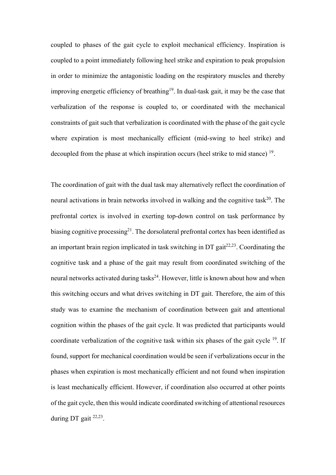coupled to phases of the gait cycle to exploit mechanical efficiency. Inspiration is coupled to a point immediately following heel strike and expiration to peak propulsion in order to minimize the antagonistic loading on the respiratory muscles and thereby improving energetic efficiency of breathing<sup>19</sup>. In dual-task gait, it may be the case that verbalization of the response is coupled to, or coordinated with the mechanical constraints of gait such that verbalization is coordinated with the phase of the gait cycle where expiration is most mechanically efficient (mid-swing to heel strike) and decoupled from the phase at which inspiration occurs (heel strike to mid stance) <sup>19</sup>.

The coordination of gait with the dual task may alternatively reflect the coordination of neural activations in brain networks involved in walking and the cognitive task<sup>20</sup>. The prefrontal cortex is involved in exerting top-down control on task performance by biasing cognitive processing<sup>21</sup>. The dorsolateral prefrontal cortex has been identified as an important brain region implicated in task switching in DT gait $^{22,23}$ . Coordinating the cognitive task and a phase of the gait may result from coordinated switching of the neural networks activated during tasks<sup>24</sup>. However, little is known about how and when this switching occurs and what drives switching in DT gait. Therefore, the aim of this study was to examine the mechanism of coordination between gait and attentional cognition within the phases of the gait cycle. It was predicted that participants would coordinate verbalization of the cognitive task within six phases of the gait cycle 19. If found, support for mechanical coordination would be seen if verbalizations occur in the phases when expiration is most mechanically efficient and not found when inspiration is least mechanically efficient. However, if coordination also occurred at other points of the gait cycle, then this would indicate coordinated switching of attentional resources during DT gait 22,23.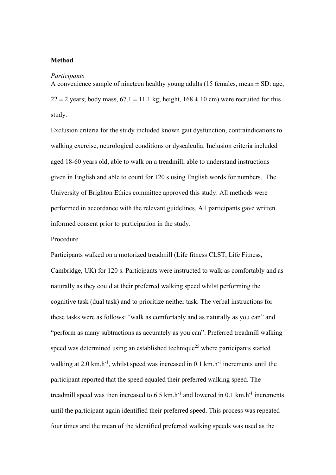# **Method**

#### *Participants*

A convenience sample of nineteen healthy young adults (15 females, mean  $\pm$  SD: age,  $22 \pm 2$  years; body mass,  $67.1 \pm 11.1$  kg; height,  $168 \pm 10$  cm) were recruited for this study.

Exclusion criteria for the study included known gait dysfunction, contraindications to walking exercise, neurological conditions or dyscalculia. Inclusion criteria included aged 18-60 years old, able to walk on a treadmill, able to understand instructions given in English and able to count for 120 s using English words for numbers. The University of Brighton Ethics committee approved this study. All methods were performed in accordance with the relevant guidelines. All participants gave written informed consent prior to participation in the study.

# Procedure

Participants walked on a motorized treadmill (Life fitness CLST, Life Fitness, Cambridge, UK) for 120 s. Participants were instructed to walk as comfortably and as naturally as they could at their preferred walking speed whilst performing the cognitive task (dual task) and to prioritize neither task. The verbal instructions for these tasks were as follows: "walk as comfortably and as naturally as you can" and "perform as many subtractions as accurately as you can". Preferred treadmill walking speed was determined using an established technique<sup>25</sup> where participants started walking at 2.0 km.h<sup>-1</sup>, whilst speed was increased in 0.1 km.h<sup>-1</sup> increments until the participant reported that the speed equaled their preferred walking speed. The treadmill speed was then increased to  $6.5 \text{ km.h}^{-1}$  and lowered in 0.1 km.h<sup>-1</sup> increments until the participant again identified their preferred speed. This process was repeated four times and the mean of the identified preferred walking speeds was used as the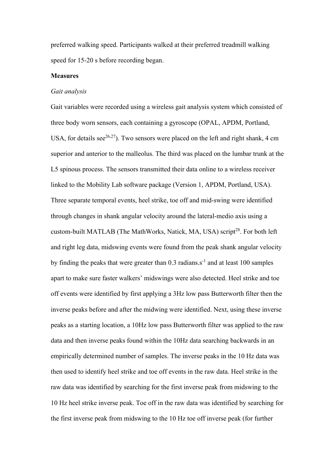preferred walking speed. Participants walked at their preferred treadmill walking speed for 15-20 s before recording began.

# **Measures**

## *Gait analysis*

Gait variables were recorded using a wireless gait analysis system which consisted of three body worn sensors, each containing a gyroscope (OPAL, APDM, Portland, USA, for details see<sup>26,27</sup>). Two sensors were placed on the left and right shank, 4 cm superior and anterior to the malleolus. The third was placed on the lumbar trunk at the L5 spinous process. The sensors transmitted their data online to a wireless receiver linked to the Mobility Lab software package (Version 1, APDM, Portland, USA). Three separate temporal events, heel strike, toe off and mid-swing were identified through changes in shank angular velocity around the lateral-medio axis using a custom-built MATLAB (The MathWorks, Natick, MA, USA) script<sup>28</sup>. For both left and right leg data, midswing events were found from the peak shank angular velocity by finding the peaks that were greater than  $0.3$  radians.s<sup>-1</sup> and at least 100 samples apart to make sure faster walkers' midswings were also detected. Heel strike and toe off events were identified by first applying a 3Hz low pass Butterworth filter then the inverse peaks before and after the midwing were identified. Next, using these inverse peaks as a starting location, a 10Hz low pass Butterworth filter was applied to the raw data and then inverse peaks found within the 10Hz data searching backwards in an empirically determined number of samples. The inverse peaks in the 10 Hz data was then used to identify heel strike and toe off events in the raw data. Heel strike in the raw data was identified by searching for the first inverse peak from midswing to the 10 Hz heel strike inverse peak. Toe off in the raw data was identified by searching for the first inverse peak from midswing to the 10 Hz toe off inverse peak (for further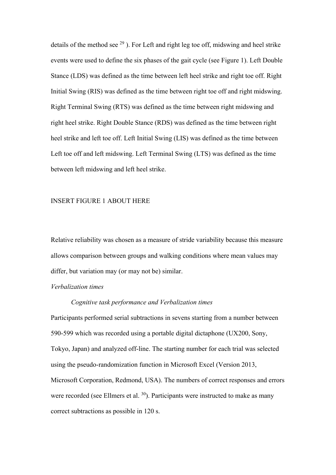details of the method see  $^{29}$ ). For Left and right leg toe off, midswing and heel strike events were used to define the six phases of the gait cycle (see Figure 1). Left Double Stance (LDS) was defined as the time between left heel strike and right toe off. Right Initial Swing (RIS) was defined as the time between right toe off and right midswing. Right Terminal Swing (RTS) was defined as the time between right midswing and right heel strike. Right Double Stance (RDS) was defined as the time between right heel strike and left toe off. Left Initial Swing (LIS) was defined as the time between Left toe off and left midswing. Left Terminal Swing (LTS) was defined as the time between left midswing and left heel strike.

## INSERT FIGURE 1 ABOUT HERE

Relative reliability was chosen as a measure of stride variability because this measure allows comparison between groups and walking conditions where mean values may differ, but variation may (or may not be) similar.

# *Verbalization times*

## *Cognitive task performance and Verbalization times*

Participants performed serial subtractions in sevens starting from a number between 590-599 which was recorded using a portable digital dictaphone (UX200, Sony, Tokyo, Japan) and analyzed off-line. The starting number for each trial was selected using the pseudo-randomization function in Microsoft Excel (Version 2013, Microsoft Corporation, Redmond, USA). The numbers of correct responses and errors were recorded (see Ellmers et al.  $30$ ). Participants were instructed to make as many correct subtractions as possible in 120 s.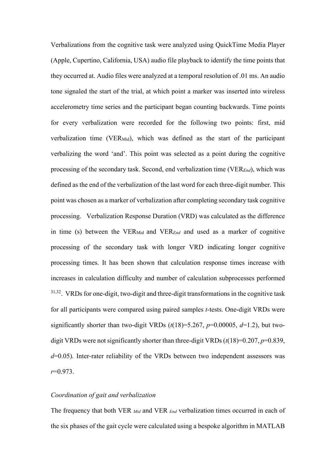Verbalizations from the cognitive task were analyzed using QuickTime Media Player (Apple, Cupertino, California, USA) audio file playback to identify the time points that they occurred at. Audio files were analyzed at a temporal resolution of .01 ms. An audio tone signaled the start of the trial, at which point a marker was inserted into wireless accelerometry time series and the participant began counting backwards. Time points for every verbalization were recorded for the following two points: first, mid verbalization time (VERMid), which was defined as the start of the participant verbalizing the word 'and'. This point was selected as a point during the cognitive processing of the secondary task. Second, end verbalization time (VER*End*), which was defined as the end of the verbalization of the last word for each three-digit number. This point was chosen as a marker of verbalization after completing secondary task cognitive processing. Verbalization Response Duration (VRD) was calculated as the difference in time (s) between the VERMid and VER*End* and used as a marker of cognitive processing of the secondary task with longer VRD indicating longer cognitive processing times. It has been shown that calculation response times increase with increases in calculation difficulty and number of calculation subprocesses performed 31,32. VRDs for one-digit, two-digit and three-digit transformations in the cognitive task for all participants were compared using paired samples *t*-tests. One-digit VRDs were significantly shorter than two-digit VRDs  $(t(18)=5.267, p=0.00005, d=1.2)$ , but twodigit VRDs were not significantly shorter than three-digit VRDs (*t*(18)=0.207, *p*=0.839, *d*=0.05). Inter-rater reliability of the VRDs between two independent assessors was *r*=0.973.

## *Coordination of gait and verbalization*

The frequency that both VER *Mid* and VER *End* verbalization times occurred in each of the six phases of the gait cycle were calculated using a bespoke algorithm in MATLAB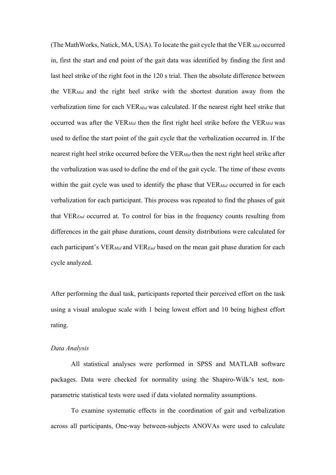(The MathWorks, Natick, MA, USA). To locate the gait cycle that the VER *Mid* occurred in, first the start and end point of the gait data was identified by finding the first and last heel strike of the right foot in the 120 s trial. Then the absolute difference between the VER*Mid* and the right heel strike with the shortest duration away from the verbalization time for each VER*Mid* was calculated. If the nearest right heel strike that occurred was after the VER*Mid* then the first right heel strike before the VER*Mid* was used to define the start point of the gait cycle that the verbalization occurred in. If the nearest right heel strike occurred before the VER*Mid* then the next right heel strike after the verbalization was used to define the end of the gait cycle. The time of these events within the gait cycle was used to identify the phase that VER*Mid* occurred in for each verbalization for each participant. This process was repeated to find the phases of gait that VER*End* occurred at. To control for bias in the frequency counts resulting from differences in the gait phase durations, count density distributions were calculated for each participant's VER*Mid* and VER*End* based on the mean gait phase duration for each cycle analyzed.

After performing the dual task, participants reported their perceived effort on the task using a visual analogue scale with 1 being lowest effort and 10 being highest effort rating.

# *Data Analysis*

All statistical analyses were performed in SPSS and MATLAB software packages. Data were checked for normality using the Shapiro-Wilk's test, nonparametric statistical tests were used if data violated normality assumptions.

To examine systematic effects in the coordination of gait and verbalization across all participants, One-way between-subjects ANOVAs were used to calculate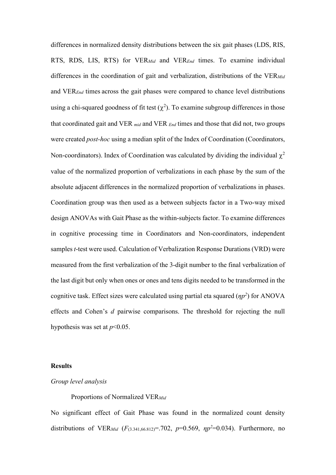differences in normalized density distributions between the six gait phases (LDS, RIS, RTS, RDS, LIS, RTS) for VER*Mid* and VER*End* times. To examine individual differences in the coordination of gait and verbalization, distributions of the VER*Mid* and VER*End* times across the gait phases were compared to chance level distributions using a chi-squared goodness of fit test  $(\chi^2)$ . To examine subgroup differences in those that coordinated gait and VER *mid* and VER *End* times and those that did not, two groups were created *post-hoc* using a median split of the Index of Coordination (Coordinators, Non-coordinators). Index of Coordination was calculated by dividing the individual  $\chi^2$ value of the normalized proportion of verbalizations in each phase by the sum of the absolute adjacent differences in the normalized proportion of verbalizations in phases. Coordination group was then used as a between subjects factor in a Two-way mixed design ANOVAs with Gait Phase as the within-subjects factor. To examine differences in cognitive processing time in Coordinators and Non-coordinators, independent samples *t*-test were used. Calculation of Verbalization Response Durations(VRD) were measured from the first verbalization of the 3-digit number to the final verbalization of the last digit but only when ones or ones and tens digits needed to be transformed in the cognitive task. Effect sizes were calculated using partial eta squared (*ηp<sup>2</sup>*) for ANOVA effects and Cohen's *d* pairwise comparisons. The threshold for rejecting the null hypothesis was set at *p*<0.05.

#### **Results**

## *Group level analysis*

Proportions of Normalized VER*Mid*

No significant effect of Gait Phase was found in the normalized count density distributions of VER*Mid* (*F*(3.341,66.812)=.702, *p*=0.569, *ηp<sup>2</sup>* =0.034). Furthermore, no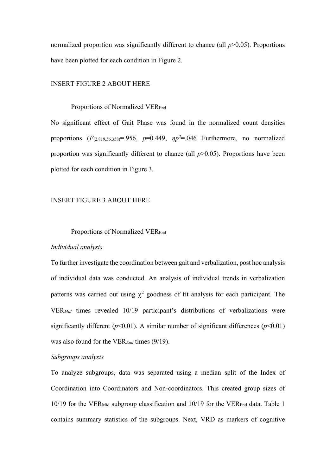normalized proportion was significantly different to chance (all  $p$  $>$ 0.05). Proportions have been plotted for each condition in Figure 2.

# INSERT FIGURE 2 ABOUT HERE

## Proportions of Normalized VEREnd

No significant effect of Gait Phase was found in the normalized count densities proportions (*F*(2.819,56.358)=.956, *p*=0.449, *ηp<sup>2</sup>* =.046 Furthermore, no normalized proportion was significantly different to chance (all *p*>0.05). Proportions have been plotted for each condition in Figure 3.

# INSERT FIGURE 3 ABOUT HERE

# Proportions of Normalized VEREnd

# *Individual analysis*

To further investigate the coordination between gait and verbalization, post hoc analysis of individual data was conducted. An analysis of individual trends in verbalization patterns was carried out using  $\chi^2$  goodness of fit analysis for each participant. The VER*Mid* times revealed 10/19 participant's distributions of verbalizations were significantly different ( $p$ <0.01). A similar number of significant differences ( $p$ <0.01) was also found for the VER*End* times (9/19).

# *Subgroups analysis*

To analyze subgroups, data was separated using a median split of the Index of Coordination into Coordinators and Non-coordinators. This created group sizes of 10/19 for the VERMid subgroup classification and 10/19 for the VEREnd data. Table 1 contains summary statistics of the subgroups. Next, VRD as markers of cognitive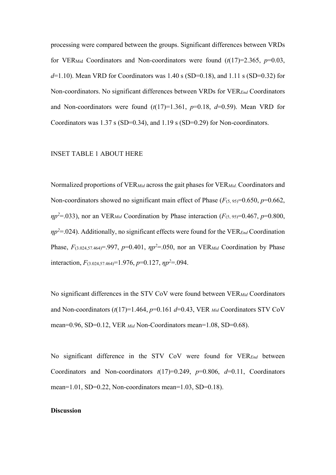processing were compared between the groups. Significant differences between VRDs for VER<sub>Mid</sub> Coordinators and Non-coordinators were found  $(t(17)=2.365, p=0.03$ , *d*=1.10). Mean VRD for Coordinators was 1.40 s (SD=0.18), and 1.11 s (SD=0.32) for Non-coordinators. No significant differences between VRDs for VER*End* Coordinators and Non-coordinators were found  $(t(17)=1.361, p=0.18, d=0.59)$ . Mean VRD for Coordinators was 1.37 s (SD=0.34), and 1.19 s (SD=0.29) for Non-coordinators.

#### INSET TABLE 1 ABOUT HERE

Normalized proportions of VER*Mid* across the gait phases for VER*Mid*. Coordinators and Non-coordinators showed no significant main effect of Phase  $(F_{(5, 95)}=0.650, p=0.662,$  $np^2$ =.033), nor an VER<sub>Mid</sub> Coordination by Phase interaction (*F*(5, 95)=0.467, *p*=0.800, *ηp<sup>2</sup>*=.024). Additionally, no significant effects were found for the VER*End* Coordination Phase,  $F_{(3.024,57.464)} = .997$ ,  $p=0.401$ ,  $np^2 = .050$ , nor an VER<sub>*Mid*</sub> Coordination by Phase interaction, *F*(3.024,57.464)=1.976, *p*=0.127, *ηp<sup>2</sup>* =.094.

No significant differences in the STV CoV were found between VER*Mid* Coordinators and Non-coordinators (*t*(17)=1.464, *p*=0.161 *d*=0.43, VER *Mid* Coordinators STV CoV mean=0.96, SD=0.12, VER *Mid* Non-Coordinators mean=1.08, SD=0.68).

No significant difference in the STV CoV were found for VER*End* between Coordinators and Non-coordinators  $t(17)=0.249$ ,  $p=0.806$ ,  $d=0.11$ , Coordinators mean=1.01, SD=0.22, Non-coordinators mean=1.03, SD=0.18).

## **Discussion**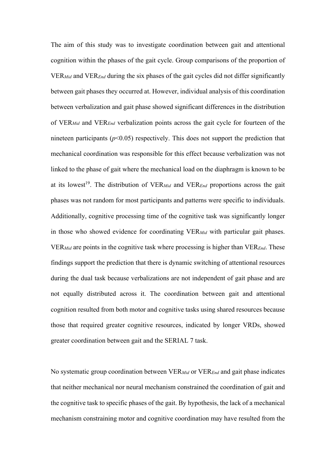The aim of this study was to investigate coordination between gait and attentional cognition within the phases of the gait cycle. Group comparisons of the proportion of VER*Mid* and VER*End* during the six phases of the gait cycles did not differ significantly between gait phases they occurred at. However, individual analysis of this coordination between verbalization and gait phase showed significant differences in the distribution of VER*Mid* and VER*End* verbalization points across the gait cycle for fourteen of the nineteen participants  $(p<0.05)$  respectively. This does not support the prediction that mechanical coordination was responsible for this effect because verbalization was not linked to the phase of gait where the mechanical load on the diaphragm is known to be at its lowest<sup>19</sup>. The distribution of VER<sub>*Mid*</sub> and VER<sub>*End*</sub> proportions across the gait phases was not random for most participants and patterns were specific to individuals. Additionally, cognitive processing time of the cognitive task was significantly longer in those who showed evidence for coordinating VER*Mid* with particular gait phases. VER*Mid* are points in the cognitive task where processing is higher than VER*End*. These findings support the prediction that there is dynamic switching of attentional resources during the dual task because verbalizations are not independent of gait phase and are not equally distributed across it. The coordination between gait and attentional cognition resulted from both motor and cognitive tasks using shared resources because those that required greater cognitive resources, indicated by longer VRDs, showed greater coordination between gait and the SERIAL 7 task.

No systematic group coordination between VER*Mid* or VER*End* and gait phase indicates that neither mechanical nor neural mechanism constrained the coordination of gait and the cognitive task to specific phases of the gait. By hypothesis, the lack of a mechanical mechanism constraining motor and cognitive coordination may have resulted from the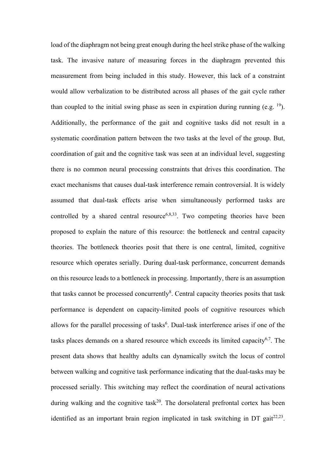load of the diaphragm not being great enough during the heel strike phase of the walking task. The invasive nature of measuring forces in the diaphragm prevented this measurement from being included in this study. However, this lack of a constraint would allow verbalization to be distributed across all phases of the gait cycle rather than coupled to the initial swing phase as seen in expiration during running (e.g.  $^{19}$ ). Additionally, the performance of the gait and cognitive tasks did not result in a systematic coordination pattern between the two tasks at the level of the group. But, coordination of gait and the cognitive task was seen at an individual level, suggesting there is no common neural processing constraints that drives this coordination. The exact mechanisms that causes dual-task interference remain controversial. It is widely assumed that dual-task effects arise when simultaneously performed tasks are controlled by a shared central resource<sup> $6,8,33$ </sup>. Two competing theories have been proposed to explain the nature of this resource: the bottleneck and central capacity theories. The bottleneck theories posit that there is one central, limited, cognitive resource which operates serially. During dual-task performance, concurrent demands on this resource leads to a bottleneck in processing. Importantly, there is an assumption that tasks cannot be processed concurrently<sup>8</sup>. Central capacity theories posits that task performance is dependent on capacity-limited pools of cognitive resources which allows for the parallel processing of tasks<sup>6</sup>. Dual-task interference arises if one of the tasks places demands on a shared resource which exceeds its limited capacity<sup>6,7</sup>. The present data shows that healthy adults can dynamically switch the locus of control between walking and cognitive task performance indicating that the dual-tasks may be processed serially. This switching may reflect the coordination of neural activations during walking and the cognitive task<sup>20</sup>. The dorsolateral prefrontal cortex has been identified as an important brain region implicated in task switching in DT gait $^{22,23}$ .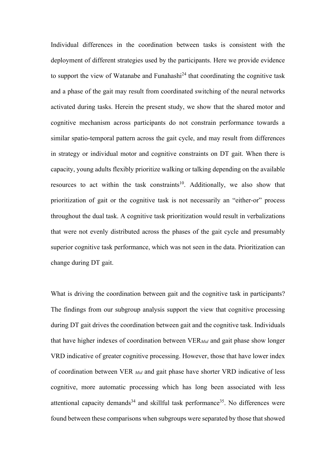Individual differences in the coordination between tasks is consistent with the deployment of different strategies used by the participants. Here we provide evidence to support the view of Watanabe and Funahashi $^{24}$  that coordinating the cognitive task and a phase of the gait may result from coordinated switching of the neural networks activated during tasks. Herein the present study, we show that the shared motor and cognitive mechanism across participants do not constrain performance towards a similar spatio-temporal pattern across the gait cycle, and may result from differences in strategy or individual motor and cognitive constraints on DT gait. When there is capacity, young adults flexibly prioritize walking or talking depending on the available resources to act within the task constraints<sup>10</sup>. Additionally, we also show that prioritization of gait or the cognitive task is not necessarily an "either-or" process throughout the dual task. A cognitive task prioritization would result in verbalizations that were not evenly distributed across the phases of the gait cycle and presumably superior cognitive task performance, which was not seen in the data. Prioritization can change during DT gait.

What is driving the coordination between gait and the cognitive task in participants? The findings from our subgroup analysis support the view that cognitive processing during DT gait drives the coordination between gait and the cognitive task. Individuals that have higher indexes of coordination between VER*Mid* and gait phase show longer VRD indicative of greater cognitive processing. However, those that have lower index of coordination between VER *Mid* and gait phase have shorter VRD indicative of less cognitive, more automatic processing which has long been associated with less attentional capacity demands<sup>34</sup> and skillful task performance<sup>35</sup>. No differences were found between these comparisons when subgroups were separated by those that showed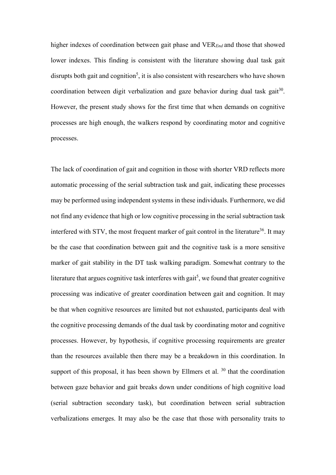higher indexes of coordination between gait phase and VER*End* and those that showed lower indexes. This finding is consistent with the literature showing dual task gait disrupts both gait and cognition<sup>5</sup>, it is also consistent with researchers who have shown coordination between digit verbalization and gaze behavior during dual task gait<sup>30</sup>. However, the present study shows for the first time that when demands on cognitive processes are high enough, the walkers respond by coordinating motor and cognitive processes.

The lack of coordination of gait and cognition in those with shorter VRD reflects more automatic processing of the serial subtraction task and gait, indicating these processes may be performed using independent systems in these individuals. Furthermore, we did not find any evidence that high or low cognitive processing in the serial subtraction task interfered with STV, the most frequent marker of gait control in the literature<sup>36</sup>. It may be the case that coordination between gait and the cognitive task is a more sensitive marker of gait stability in the DT task walking paradigm. Somewhat contrary to the literature that argues cognitive task interferes with gait<sup>5</sup>, we found that greater cognitive processing was indicative of greater coordination between gait and cognition. It may be that when cognitive resources are limited but not exhausted, participants deal with the cognitive processing demands of the dual task by coordinating motor and cognitive processes. However, by hypothesis, if cognitive processing requirements are greater than the resources available then there may be a breakdown in this coordination. In support of this proposal, it has been shown by Ellmers et al.  $30$  that the coordination between gaze behavior and gait breaks down under conditions of high cognitive load (serial subtraction secondary task), but coordination between serial subtraction verbalizations emerges. It may also be the case that those with personality traits to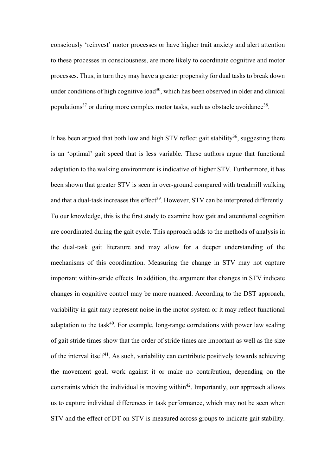consciously 'reinvest' motor processes or have higher trait anxiety and alert attention to these processes in consciousness, are more likely to coordinate cognitive and motor processes. Thus, in turn they may have a greater propensity for dual tasks to break down under conditions of high cognitive load<sup>30</sup>, which has been observed in older and clinical populations<sup>37</sup> or during more complex motor tasks, such as obstacle avoidance<sup>38</sup>.

It has been argued that both low and high STV reflect gait stability<sup>36</sup>, suggesting there is an 'optimal' gait speed that is less variable. These authors argue that functional adaptation to the walking environment is indicative of higher STV. Furthermore, it has been shown that greater STV is seen in over-ground compared with treadmill walking and that a dual-task increases this effect<sup>39</sup>. However, STV can be interpreted differently. To our knowledge, this is the first study to examine how gait and attentional cognition are coordinated during the gait cycle. This approach adds to the methods of analysis in the dual-task gait literature and may allow for a deeper understanding of the mechanisms of this coordination. Measuring the change in STV may not capture important within-stride effects. In addition, the argument that changes in STV indicate changes in cognitive control may be more nuanced. According to the DST approach, variability in gait may represent noise in the motor system or it may reflect functional adaptation to the task<sup>40</sup>. For example, long-range correlations with power law scaling of gait stride times show that the order of stride times are important as well as the size of the interval itself<sup>41</sup>. As such, variability can contribute positively towards achieving the movement goal, work against it or make no contribution, depending on the constraints which the individual is moving within<sup>42</sup>. Importantly, our approach allows us to capture individual differences in task performance, which may not be seen when STV and the effect of DT on STV is measured across groups to indicate gait stability.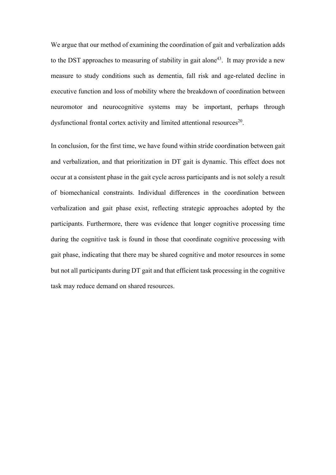We argue that our method of examining the coordination of gait and verbalization adds to the DST approaches to measuring of stability in gait alone<sup>43</sup>. It may provide a new measure to study conditions such as dementia, fall risk and age-related decline in executive function and loss of mobility where the breakdown of coordination between neuromotor and neurocognitive systems may be important, perhaps through dysfunctional frontal cortex activity and limited attentional resources<sup>20</sup>.

In conclusion, for the first time, we have found within stride coordination between gait and verbalization, and that prioritization in DT gait is dynamic. This effect does not occur at a consistent phase in the gait cycle across participants and is not solely a result of biomechanical constraints. Individual differences in the coordination between verbalization and gait phase exist, reflecting strategic approaches adopted by the participants. Furthermore, there was evidence that longer cognitive processing time during the cognitive task is found in those that coordinate cognitive processing with gait phase, indicating that there may be shared cognitive and motor resources in some but not all participants during DT gait and that efficient task processing in the cognitive task may reduce demand on shared resources.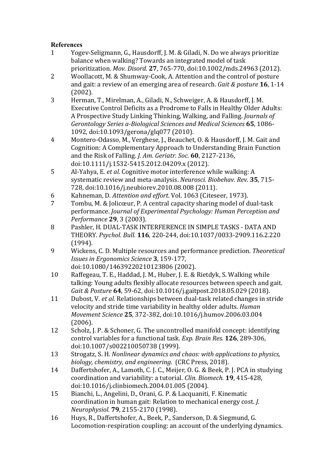# **References**

- 1 Yogev-Seligmann, G., Hausdorff, J. M. & Giladi, N. Do we always prioritize balance when walking? Towards an integrated model of task prioritization. *Mov. Disord.* **27**, 765-770, doi:10.1002/mds.24963 (2012).
- 2 Woollacott, M. & Shumway-Cook, A. Attention and the control of posture and gait: a review of an emerging area of research. *Gait & posture* **16**, 1-14 (2002).
- 3 Herman, T., Mirelman, A., Giladi, N., Schweiger, A. & Hausdorff, J. M. Executive Control Deficits as a Prodrome to Falls in Healthy Older Adults: A Prospective Study Linking Thinking, Walking, and Falling. *Journals of Gerontology Series a-Biological Sciences and Medical Sciences* **65**, 1086- 1092, doi:10.1093/gerona/glq077 (2010).
- 4 Montero-Odasso, M., Verghese, J., Beauchet, O. & Hausdorff, J. M. Gait and Cognition: A Complementary Approach to Understanding Brain Function and the Risk of Falling. *J. Am. Geriatr. Soc.* **60**, 2127-2136, doi:10.1111/j.1532-5415.2012.04209.x (2012).
- 5 Al-Yahya, E. *et al.* Cognitive motor interference while walking: A systematic review and meta-analysis. *Neurosci. Biobehav. Rev.* **35**, 715- 728, doi:10.1016/j.neubiorev.2010.08.008 (2011).
- 6 Kahneman, D. *Attention and effort*. Vol. 1063 (Citeseer, 1973).
- 7 Tombu, M. & Jolicœur, P. A central capacity sharing model of dual-task performance. *Journal of Experimental Psychology: Human Perception and Performance* **29**, 3 (2003).
- 8 Pashler, H. DUAL-TASK INTERFERENCE IN SIMPLE TASKS DATA AND THEORY. *Psychol. Bull.* **116**, 220-244, doi:10.1037/0033-2909.116.2.220 (1994).
- 9 Wickens, C. D. Multiple resources and performance prediction. *Theoretical Issues in Ergonomics Science* **3**, 159-177, doi:10.1080/14639220210123806 (2002).
- 10 Raffegeau, T. E., Haddad, J. M., Huber, J. E. & Rietdyk, S. Walking while talking: Young adults flexibly allocate resources between speech and gait. *Gait & Posture* **64**, 59-62, doi:10.1016/j.gaitpost.2018.05.029 (2018).
- 11 Dubost, V. *et al.* Relationships between dual-task related changes in stride velocity and stride time variability in healthy older adults. *Human Movement Science* **25**, 372-382, doi:10.1016/j.humov.2006.03.004 (2006).
- 12 Scholz, J. P. & Schoner, G. The uncontrolled manifold concept: identifying control variables for a functional task. *Exp. Brain Res.* **126**, 289-306, doi:10.1007/s002210050738 (1999).
- 13 Strogatz, S. H. *Nonlinear dynamics and chaos: with applications to physics, biology, chemistry, and engineering*. (CRC Press, 2018).
- 14 Daffertshofer, A., Lamoth, C. J. C., Meijer, O. G. & Beek, P. J. PCA in studying coordination and variability: a tutorial. *Clin. Biomech.* **19**, 415-428, doi:10.1016/j.clinbiomech.2004.01.005 (2004).
- 15 Bianchi, L., Angelini, D., Orani, G. P. & Lacquaniti, F. Kinematic coordination in human gait: Relation to mechanical energy cost. *J. Neurophysiol.* **79**, 2155-2170 (1998).
- 16 Huys, R., Daffertshofer, A., Beek, P., Sanderson, D. & Siegmund, G. Locomotion-respiration coupling: an account of the underlying dynamics.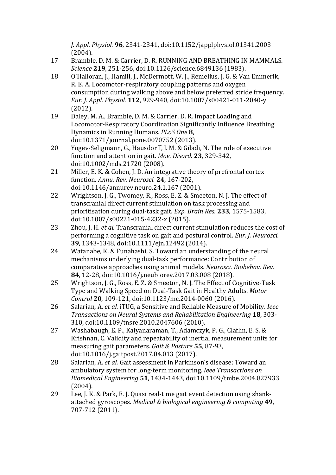*J. Appl. Physiol.* **96**, 2341-2341, doi:10.1152/japplphysiol.01341.2003 (2004).

- 17 Bramble, D. M. & Carrier, D. R. RUNNING AND BREATHING IN MAMMALS. *Science* **219**, 251-256, doi:10.1126/science.6849136 (1983).
- 18 O'Halloran, J., Hamill, J., McDermott, W. J., Remelius, J. G. & Van Emmerik, R. E. A. Locomotor-respiratory coupling patterns and oxygen consumption during walking above and below preferred stride frequency. *Eur. J. Appl. Physiol.* **112**, 929-940, doi:10.1007/s00421-011-2040-y (2012).
- 19 Daley, M. A., Bramble, D. M. & Carrier, D. R. Impact Loading and Locomotor-Respiratory Coordination Significantly Influence Breathing Dynamics in Running Humans. *PLoS One* **8**, doi:10.1371/journal.pone.0070752 (2013).
- 20 Yogev-Seligmann, G., Hausdorff, J. M. & Giladi, N. The role of executive function and attention in gait. *Mov. Disord.* **23**, 329-342, doi:10.1002/mds.21720 (2008).
- 21 Miller, E. K. & Cohen, I. D. An integrative theory of prefrontal cortex function. *Annu. Rev. Neurosci.* **24**, 167-202, doi:10.1146/annurev.neuro.24.1.167 (2001).
- 22 Wrightson, J. G., Twomey, R., Ross, E. Z. & Smeeton, N. J. The effect of transcranial direct current stimulation on task processing and prioritisation during dual-task gait. *Exp. Brain Res.* **233**, 1575-1583, doi:10.1007/s00221-015-4232-x (2015).
- 23 Zhou, J. H. *et al.* Transcranial direct current stimulation reduces the cost of performing a cognitive task on gait and postural control. *Eur. J. Neurosci.* **39**, 1343-1348, doi:10.1111/ejn.12492 (2014).
- 24 Watanabe, K. & Funahashi, S. Toward an understanding of the neural mechanisms underlying dual-task performance: Contribution of comparative approaches using animal models. *Neurosci. Biobehav. Rev.* **84**, 12-28, doi:10.1016/j.neubiorev.2017.03.008 (2018).
- 25 Wrightson, J. G., Ross, E. Z. & Smeeton, N. J. The Effect of Cognitive-Task Type and Walking Speed on Dual-Task Gait in Healthy Adults. *Motor Control* **20**, 109-121, doi:10.1123/mc.2014-0060 (2016).
- 26 Salarian, A. *et al.* iTUG, a Sensitive and Reliable Measure of Mobility. *Ieee Transactions on Neural Systems and Rehabilitation Engineering* **18**, 303- 310, doi:10.1109/tnsre.2010.2047606 (2010).
- 27 Washabaugh, E. P., Kalyanaraman, T., Adamczyk, P. G., Claflin, E. S. & Krishnan, C. Validity and repeatability of inertial measurement units for measuring gait parameters. *Gait & Posture* **55**, 87-93, doi:10.1016/j.gaitpost.2017.04.013 (2017).
- 28 Salarian, A. *et al.* Gait assessment in Parkinson's disease: Toward an ambulatory system for long-term monitoring. *Ieee Transactions on Biomedical Engineering* **51**, 1434-1443, doi:10.1109/tmbe.2004.827933 (2004).
- 29 Lee, J. K. & Park, E. J. Quasi real-time gait event detection using shankattached gyroscopes. *Medical & biological engineering & computing* **49**, 707-712 (2011).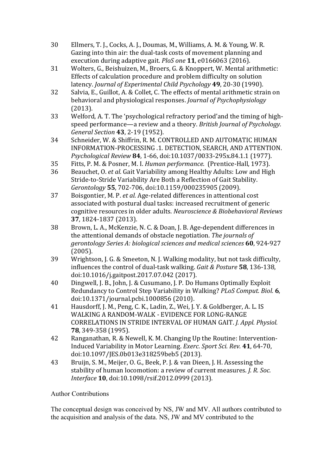- 30 Ellmers, T. J., Cocks, A. J., Doumas, M., Williams, A. M. & Young, W. R. Gazing into thin air: the dual-task costs of movement planning and execution during adaptive gait. *PloS one* **11**, e0166063 (2016).
- 31 Wolters, G., Beishuizen, M., Broers, G. & Knoppert, W. Mental arithmetic: Effects of calculation procedure and problem difficulty on solution latency. *Journal of Experimental Child Psychology* **49**, 20-30 (1990).
- 32 Salvia, E., Guillot, A. & Collet, C. The effects of mental arithmetic strain on behavioral and physiological responses. *Journal of Psychophysiology* (2013).
- 33 Welford, A. T. The 'psychological refractory period'and the timing of highspeed performance—a review and a theory. *British Journal of Psychology. General Section* **43**, 2-19 (1952).
- 34 Schneider, W. & Shiffrin, R. M. CONTROLLED AND AUTOMATIC HUMAN INFORMATION-PROCESSING .1. DETECTION, SEARCH, AND ATTENTION. *Psychological Review* **84**, 1-66, doi:10.1037/0033-295x.84.1.1 (1977).
- 35 Fitts, P. M. & Posner, M. I. *Human performance*. (Prentice-Hall, 1973).
- 36 Beauchet, O. *et al.* Gait Variability among Healthy Adults: Low and High Stride-to-Stride Variability Are Both a Reflection of Gait Stability. *Gerontology* **55**, 702-706, doi:10.1159/000235905 (2009).
- 37 Boisgontier, M. P. *et al.* Age-related differences in attentional cost associated with postural dual tasks: increased recruitment of generic cognitive resources in older adults. *Neuroscience & Biobehavioral Reviews* **37**, 1824-1837 (2013).
- 38 Brown, L. A., McKenzie, N. C. & Doan, J. B. Age-dependent differences in the attentional demands of obstacle negotiation. *The journals of gerontology Series A: biological sciences and medical sciences* **60**, 924-927 (2005).
- 39 Wrightson, J. G. & Smeeton, N. J. Walking modality, but not task difficulty, influences the control of dual-task walking. *Gait & Posture* **58**, 136-138, doi:10.1016/j.gaitpost.2017.07.042 (2017).
- 40 Dingwell, J. B., John, J. & Cusumano, J. P. Do Humans Optimally Exploit Redundancy to Control Step Variability in Walking? *PLoS Comput. Biol.* **6**, doi:10.1371/journal.pcbi.1000856 (2010).
- 41 Hausdorff, J. M., Peng, C. K., Ladin, Z., Wei, J. Y. & Goldberger, A. L. IS WALKING A RANDOM-WALK - EVIDENCE FOR LONG-RANGE CORRELATIONS IN STRIDE INTERVAL OF HUMAN GAIT. *J. Appl. Physiol.* **78**, 349-358 (1995).
- 42 Ranganathan, R. & Newell, K. M. Changing Up the Routine: Intervention-Induced Variability in Motor Learning. *Exerc. Sport Sci. Rev.* **41**, 64-70, doi:10.1097/JES.0b013e318259beb5 (2013).
- 43 Bruijn, S. M., Meijer, O. G., Beek, P. J. & van Dieen, J. H. Assessing the stability of human locomotion: a review of current measures. *J. R. Soc. Interface* **10**, doi:10.1098/rsif.2012.0999 (2013).

# Author Contributions

The conceptual design was conceived by NS, JW and MV. All authors contributed to the acquisition and analysis of the data. NS, JW and MV contributed to the